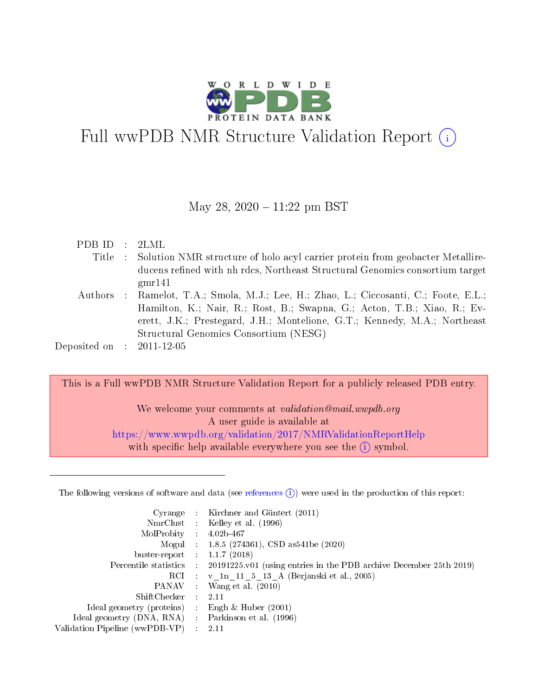

# Full wwPDB NMR Structure Validation Report (i)

## May 28,  $2020 - 11:22$  pm BST

| PDBID : 2LML                |                                                                                       |
|-----------------------------|---------------------------------------------------------------------------------------|
|                             | Title : Solution NMR structure of holo acyl carrier protein from geobacter Metallire- |
|                             | ducens refined with nh rdcs, Northeast Structural Genomics consortium target          |
|                             | gmr141                                                                                |
|                             | Authors : Ramelot, T.A.; Smola, M.J.; Lee, H.; Zhao, L.; Ciccosanti, C.; Foote, E.L.; |
|                             | Hamilton, K.; Nair, R.; Rost, B.; Swapna, G.; Acton, T.B.; Xiao, R.; Ev-              |
|                             | erett, J.K.; Prestegard, J.H.; Montelione, G.T.; Kennedy, M.A.; Northeast             |
|                             | Structural Genomics Consortium (NESG)                                                 |
| Deposited on : $2011-12-05$ |                                                                                       |
|                             |                                                                                       |

This is a Full wwPDB NMR Structure Validation Report for a publicly released PDB entry. We welcome your comments at validation@mail.wwpdb.org A user guide is available at <https://www.wwpdb.org/validation/2017/NMRValidationReportHelp> with specific help available everywhere you see the  $(i)$  symbol.

The following versions of software and data (see [references](https://www.wwpdb.org/validation/2017/NMRValidationReportHelp#references)  $(i)$ ) were used in the production of this report:

| Cyrange                        |               | Kirchner and Güntert (2011)                                        |
|--------------------------------|---------------|--------------------------------------------------------------------|
| $NmrClust$ :                   |               | Kelley et al. (1996)                                               |
| MolProbity :                   |               | $4.02b - 467$                                                      |
| Mogul :                        |               | $1.8.5$ (274361), CSD as 541be (2020)                              |
| buster-report :                |               | 1.1.7(2018)                                                        |
| Percentile statistics :        |               | 20191225.v01 (using entries in the PDB archive December 25th 2019) |
|                                |               | RCI : v 1n 11 5 13 A (Berjanski et al., 2005)                      |
| PANAV :                        |               | Wang et al. $(2010)$                                               |
| Shift Checker :                |               | 2.11                                                               |
| Ideal geometry (proteins)      |               | Engh & Huber $(2001)$                                              |
| Ideal geometry (DNA, RNA)      | $\mathcal{L}$ | Parkinson et al. (1996)                                            |
| Validation Pipeline (wwPDB-VP) |               | 2.11                                                               |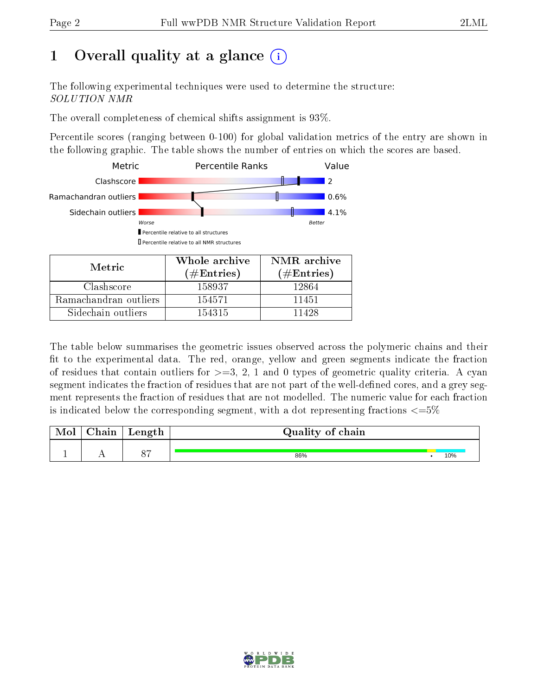# 1 [O](https://www.wwpdb.org/validation/2017/NMRValidationReportHelp#overall_quality)verall quality at a glance (i)

The following experimental techniques were used to determine the structure: SOLUTION NMR

The overall completeness of chemical shifts assignment is 93%.

Percentile scores (ranging between 0-100) for global validation metrics of the entry are shown in the following graphic. The table shows the number of entries on which the scores are based.



Sidechain outliers 154315 11428

The table below summarises the geometric issues observed across the polymeric chains and their fit to the experimental data. The red, orange, yellow and green segments indicate the fraction of residues that contain outliers for  $>=3, 2, 1$  and 0 types of geometric quality criteria. A cyan segment indicates the fraction of residues that are not part of the well-defined cores, and a grey segment represents the fraction of residues that are not modelled. The numeric value for each fraction is indicated below the corresponding segment, with a dot representing fractions  $\epsilon = 5\%$ 

| <b>NIOI</b> | ${\bf Chain}$ | $\frac{1}{2}$ angel<br>reugen | Quality of chain |     |
|-------------|---------------|-------------------------------|------------------|-----|
|             | . .           | $\cap$ $\Box$                 | 86%              | 10% |

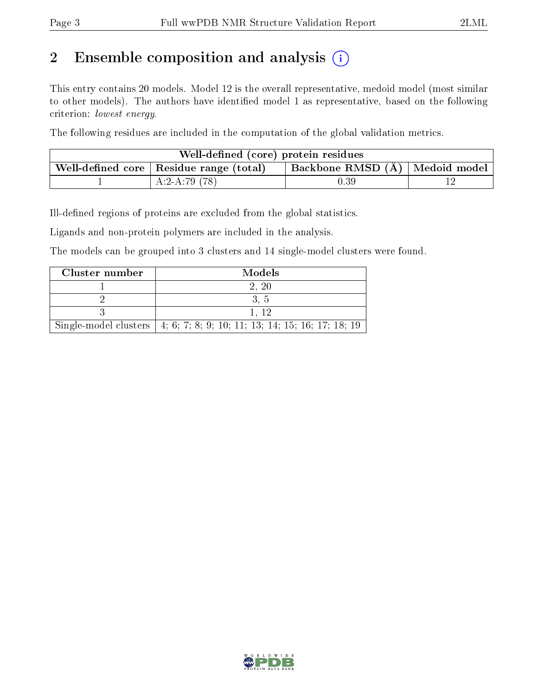# 2 Ensemble composition and analysis  $(i)$

This entry contains 20 models. Model 12 is the overall representative, medoid model (most similar to other models). The authors have identified model 1 as representative, based on the following criterion: lowest energy.

The following residues are included in the computation of the global validation metrics.

| Well-defined (core) protein residues |                                                                   |                                  |  |  |  |  |  |  |  |  |  |
|--------------------------------------|-------------------------------------------------------------------|----------------------------------|--|--|--|--|--|--|--|--|--|
|                                      | $\mathbb{R}$ Well-defined core $\mathbb{R}$ Residue range (total) | Backbone RMSD (Å)   Medoid model |  |  |  |  |  |  |  |  |  |
|                                      | $A:2-A:79(78)$                                                    | $0.39\,$                         |  |  |  |  |  |  |  |  |  |

Ill-defined regions of proteins are excluded from the global statistics.

Ligands and non-protein polymers are included in the analysis.

The models can be grouped into 3 clusters and 14 single-model clusters were found.

| Cluster number | Models                                                                    |
|----------------|---------------------------------------------------------------------------|
|                | 2. 20                                                                     |
|                |                                                                           |
|                |                                                                           |
|                | Single-model clusters   4, 6, 7, 8, 9, 10, 11, 13, 14, 15, 16, 17, 18, 19 |

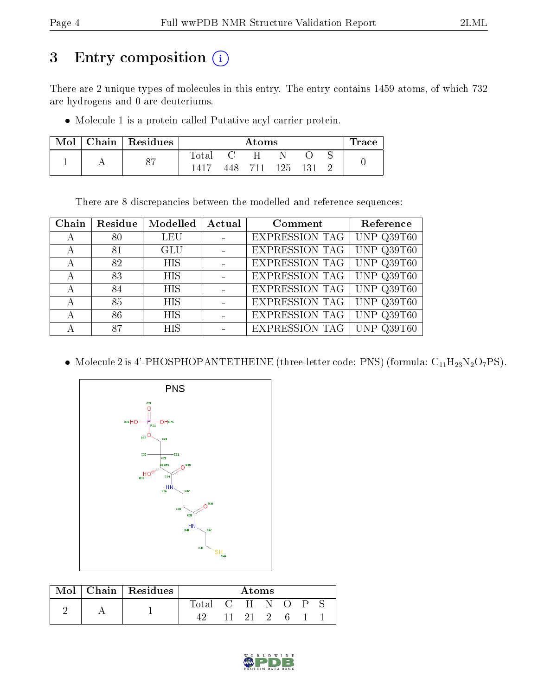# 3 Entry composition (i)

There are 2 unique types of molecules in this entry. The entry contains 1459 atoms, of which 732 are hydrogens and 0 are deuteriums.

Molecule 1 is a protein called Putative acyl carrier protein.

| Mol | Chain   Residues |       | Trace |      |       |     |  |  |
|-----|------------------|-------|-------|------|-------|-----|--|--|
|     | O <sub>7</sub>   | Total |       | Η    |       |     |  |  |
|     | 01               | 1415  | 448   | -711 | -125- | 131 |  |  |

There are 8 discrepancies between the modelled and reference sequences:

| Chain | Residue | Modelled   | Actual | Comment               | Reference    |
|-------|---------|------------|--------|-----------------------|--------------|
| А     | 80      | <b>LEU</b> |        | <b>EXPRESSION TAG</b> | UNP Q39T60   |
| А     | 81      | <b>GLU</b> |        | EXPRESSION TAG        | UNP Q39T60   |
| А     | 82      | <b>HIS</b> |        | EXPRESSION TAG        | UNP Q39T60   |
| А     | 83      | <b>HIS</b> |        | <b>EXPRESSION TAG</b> | $UNP$ Q39T60 |
| А     | 84      | <b>HIS</b> |        | <b>EXPRESSION TAG</b> | UNP Q39T60   |
| А     | 85      | <b>HIS</b> |        | <b>EXPRESSION TAG</b> | UNP $Q39T60$ |
| А     | 86      | <b>HIS</b> |        | EXPRESSION TAG        | UNP Q39T60   |
|       | 87      | <b>HIS</b> |        | <b>EXPRESSION TAG</b> | UNP $Q39T60$ |

• Molecule 2 is 4'-PHOSPHOPANTETHEINE (three-letter code: PNS) (formula:  $C_{11}H_{23}N_2O_7PS$ ).



|  | Mol   Chain   Residues | Atoms |  |       |  |  |  |  |  |  |
|--|------------------------|-------|--|-------|--|--|--|--|--|--|
|  |                        | fotal |  | $C-H$ |  |  |  |  |  |  |
|  |                        |       |  | -91   |  |  |  |  |  |  |

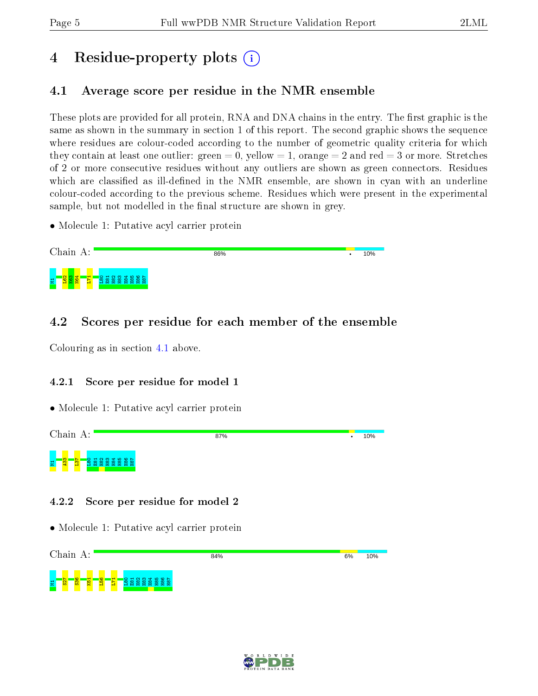# 4 Residue-property plots  $\binom{1}{1}$

# <span id="page-4-0"></span>4.1 Average score per residue in the NMR ensemble

These plots are provided for all protein, RNA and DNA chains in the entry. The first graphic is the same as shown in the summary in section 1 of this report. The second graphic shows the sequence where residues are colour-coded according to the number of geometric quality criteria for which they contain at least one outlier: green  $= 0$ , yellow  $= 1$ , orange  $= 2$  and red  $= 3$  or more. Stretches of 2 or more consecutive residues without any outliers are shown as green connectors. Residues which are classified as ill-defined in the NMR ensemble, are shown in cyan with an underline colour-coded according to the previous scheme. Residues which were present in the experimental sample, but not modelled in the final structure are shown in grey.

• Molecule 1: Putative acyl carrier protein



# 4.2 Scores per residue for each member of the ensemble

Colouring as in section [4.1](#page-4-0) above.

## 4.2.1 Score per residue for model 1

• Molecule 1: Putative acyl carrier protein



## 4.2.2 Score per residue for model 2



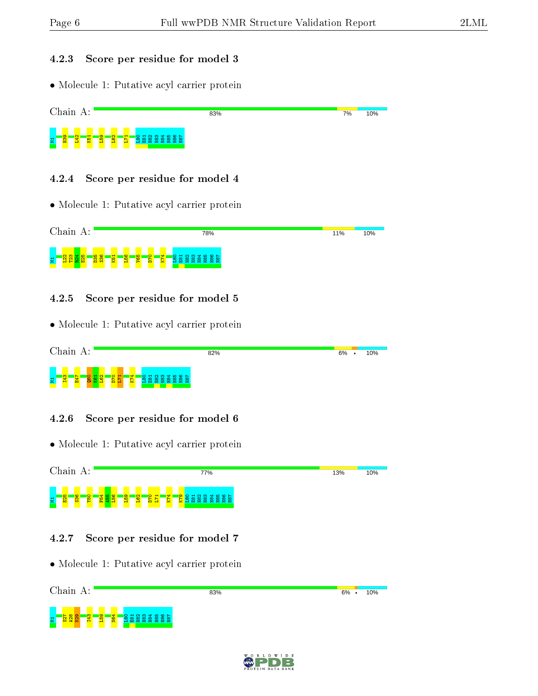#### 4.2.3 Score per residue for model 3

• Molecule 1: Putative acyl carrier protein



#### 4.2.4 Score per residue for model 4

• Molecule 1: Putative acyl carrier protein



#### 4.2.5 Score per residue for model 5

• Molecule 1: Putative acyl carrier protein



### 4.2.6 Score per residue for model 6

• Molecule 1: Putative acyl carrier protein



#### 4.2.7 Score per residue for model 7



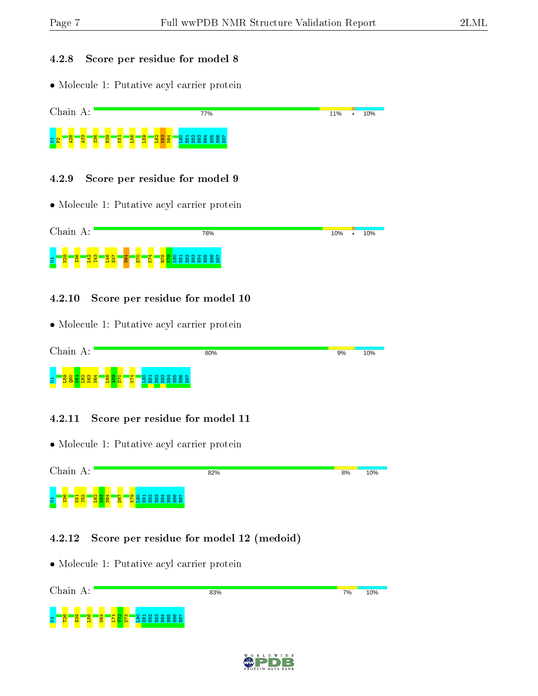#### 4.2.8 Score per residue for model 8

• Molecule 1: Putative acyl carrier protein



• Molecule 1: Putative acyl carrier protein



#### 4.2.10 Score per residue for model 10

• Molecule 1: Putative acyl carrier protein



#### 4.2.11 Score per residue for model 11

• Molecule 1: Putative acyl carrier protein



#### 4.2.12 Score per residue for model 12 (medoid)

| Chain A:                                                                                                     | 83%                                                    | 10%<br>7% |
|--------------------------------------------------------------------------------------------------------------|--------------------------------------------------------|-----------|
| $\infty$<br><b>BSI</b><br>i <mark>st</mark><br>$\blacksquare$<br>ô<br>₩<br>$\frac{2}{5}$<br>물<br>P<br>H<br>≏ | ന<br>$\omega$ $\sim$<br>ᢦ<br>הו<br>8888<br>留<br>岊<br>ш |           |

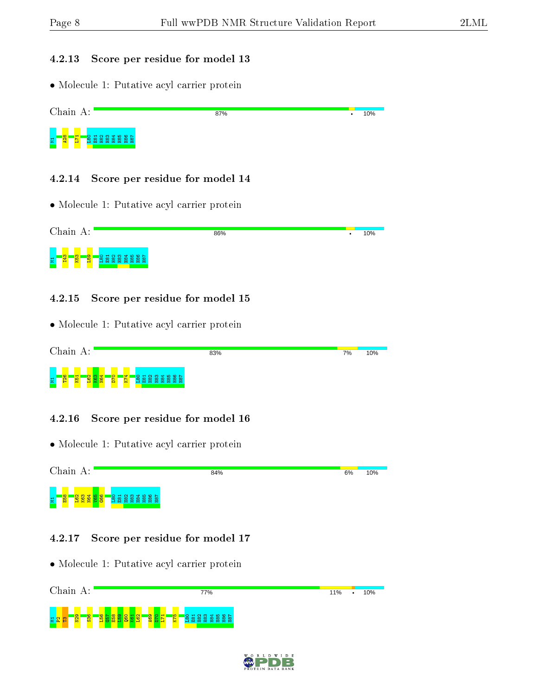#### 4.2.13 Score per residue for model 13

• Molecule 1: Putative acyl carrier protein



#### 4.2.14 Score per residue for model 14

• Molecule 1: Putative acyl carrier protein

|   | Chain A: |          |        |  |  | 86% | 10% |
|---|----------|----------|--------|--|--|-----|-----|
| Ξ | m<br>법   | <b>R</b> | ு<br>Ю |  |  |     |     |

#### 4.2.15 Score per residue for model 15

• Molecule 1: Putative acyl carrier protein

|   | Chain         |     | А:             |    |              |   |                          |   |                       |   |  |                  | 83% | 7% | 10% |
|---|---------------|-----|----------------|----|--------------|---|--------------------------|---|-----------------------|---|--|------------------|-----|----|-----|
| 륔 | <b>O</b><br>P | K51 | $\sim$ $\circ$ | ਜਾ | $\circ$<br>۵ | × | $\overline{\phantom{a}}$ | 凹 | $\sim$<br>m<br>留<br>œ | - |  | <b>\ 옵 옵 옵 옵</b> |     |    |     |

#### 4.2.16 Score per residue for model 16

• Molecule 1: Putative acyl carrier protein



#### 4.2.17 Score per residue for model 17



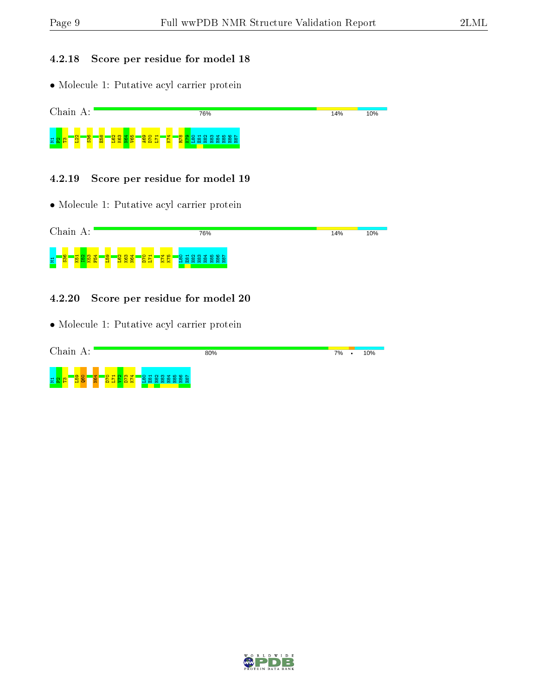### 4.2.18 Score per residue for model 18

• Molecule 1: Putative acyl carrier protein



#### 4.2.19 Score per residue for model 19

• Molecule 1: Putative acyl carrier protein



#### 4.2.20 Score per residue for model 20

| Chain<br>A:                                                                                             | 80% | 7% | $\bullet$ | 10% |
|---------------------------------------------------------------------------------------------------------|-----|----|-----------|-----|
| <mark>ន្ទ្រី</mark><br><b>N64</b><br>÷<br>๛<br>m<br>o<br>불입<br>$\infty$<br>œ<br>. .<br>ш<br>е<br>e<br>× |     |    |           |     |

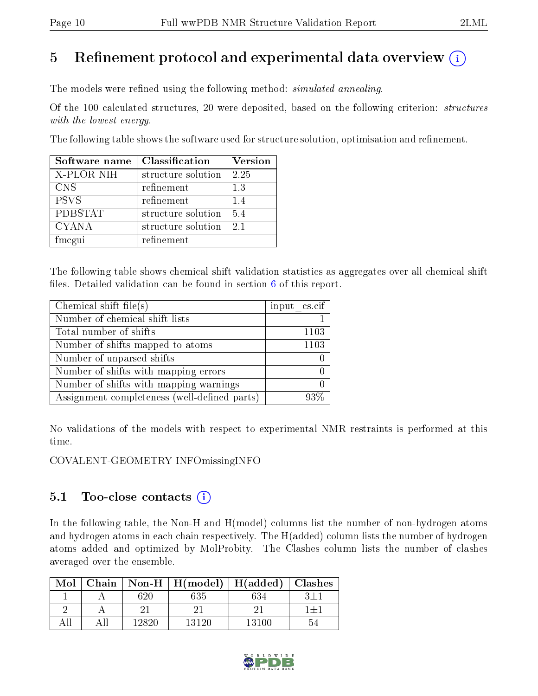# 5 Refinement protocol and experimental data overview  $\binom{1}{k}$

The models were refined using the following method: *simulated annealing*.

Of the 100 calculated structures, 20 were deposited, based on the following criterion: structures with the lowest energy.

The following table shows the software used for structure solution, optimisation and refinement.

| Software name  | Classification     | <b>Version</b> |
|----------------|--------------------|----------------|
| X-PLOR NIH     | structure solution | 2.25           |
| <b>CNS</b>     | refinement         | 13             |
| <b>PSVS</b>    | refinement         | 1.4            |
| <b>PDBSTAT</b> | structure solution | 5.4            |
| <b>CYANA</b>   | structure solution | 2.1            |
| fmcgui         | refinement         |                |

The following table shows chemical shift validation statistics as aggregates over all chemical shift files. Detailed validation can be found in section  $6$  of this report.

| Chemical shift file $(s)$                    | $input\_cs.cif$ |
|----------------------------------------------|-----------------|
| Number of chemical shift lists               |                 |
| Total number of shifts                       | 1103            |
| Number of shifts mapped to atoms             | 1103            |
| Number of unparsed shifts                    |                 |
| Number of shifts with mapping errors         |                 |
| Number of shifts with mapping warnings       |                 |
| Assignment completeness (well-defined parts) | $03\%$          |

No validations of the models with respect to experimental NMR restraints is performed at this time.

COVALENT-GEOMETRY INFOmissingINFO

# 5.1 Too-close contacts  $(i)$

In the following table, the Non-H and H(model) columns list the number of non-hydrogen atoms and hydrogen atoms in each chain respectively. The H(added) column lists the number of hydrogen atoms added and optimized by MolProbity. The Clashes column lists the number of clashes averaged over the ensemble.

| Mol |       | $\mathrm{Chain}$   $\mathrm{Non-H}$   $\mathrm{H}(\mathrm{model})$ | $\mid$ H(added) | <b>Clashes</b> |
|-----|-------|--------------------------------------------------------------------|-----------------|----------------|
|     | 620   | 635                                                                |                 |                |
|     |       |                                                                    |                 |                |
|     | 19890 | 13120                                                              | 13100           |                |

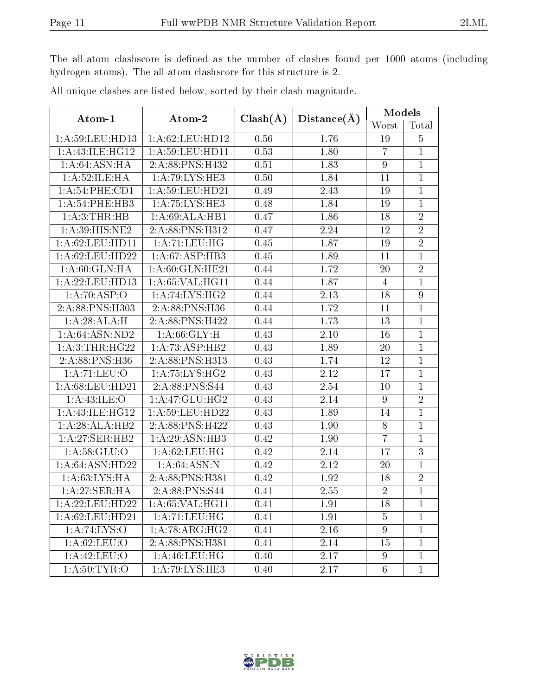The all-atom clashscore is defined as the number of clashes found per 1000 atoms (including hydrogen atoms). The all-atom clashscore for this structure is 2.

| Atom-1             | Atom-2                                                                      |              |                   | Models           |                |
|--------------------|-----------------------------------------------------------------------------|--------------|-------------------|------------------|----------------|
|                    |                                                                             | $Clash(\AA)$ | Distance(A)       | Worst            | Total          |
| 1: A:59: LEU: HD13 | 1: A:62:LEU:HD12                                                            | 0.56         | 1.76              | 19               | $\overline{5}$ |
| 1:A:43:ILE:HG12    | 1: A:59:LEU:HD11                                                            | 0.53         | 1.80              | $\overline{7}$   | $\mathbf{1}$   |
| 1:A:64:ASN:HA      | 2:A:88:PNS:H432                                                             | 0.51         | 1.83              | $\overline{9}$   | $\mathbf{1}$   |
| 1:A:52:ILE:HA      | 1: A:79: LYS: HE3                                                           | 0.50         | 1.84              | 11               | $\mathbf{1}$   |
| 1: A:54:PHE:CD1    | 1: A:59:LEU:HD21                                                            | 0.49         | 2.43              | 19               | $\mathbf{1}$   |
| 1: A:54:PHE:HB3    | $1:A:\overline{75:LYS:HE3}$                                                 | 0.48         | 1.84              | 19               | 1              |
| 1:A:3:THR:HB       | 1:A:69:ALA:HB1                                                              | 0.47         | 1.86              | 18               | $\overline{2}$ |
| 1:A:39:HIS:NE2     | 2:A:88:PNS:H312                                                             | 0.47         | 2.24              | 12               | $\overline{2}$ |
| 1:A:62:LEU:HD11    | 1:A:71:LEU:HG                                                               | 0.45         | 1.87              | 19               | $\overline{2}$ |
| 1:A:62:LEU:HD22    | 1: A:67:ASP:HB3                                                             | 0.45         | 1.89              | 11               | $\mathbf{1}$   |
| 1:A:60:GLN:HA      | 1:A:60:GLN:HE21                                                             | 0.44         | 1.72              | 20               | $\overline{2}$ |
| 1:A:22:LEU:HD13    | 1:A:65:VAL:HG11                                                             | 0.44         | 1.87              | 4                | $\mathbf 1$    |
| 1:A:70:ASP:O       | 1: A:74: LYS: HG2                                                           | 0.44         | $\overline{2.13}$ | 18               | $\overline{9}$ |
| 2:A:88:PNS:H303    | 2:A:88:PNS:H36                                                              | 0.44         | 1.72              | 11               | $\mathbf{1}$   |
| 1:A:28:ALA:H       | $2:\stackrel{\textstyle \overline{A:88:P} }{\textstyle \overline{NS:H422}}$ | 0.44         | 1.73              | 13               | $\overline{1}$ |
| 1: A:64:ASN:ND2    | 1: A:66: GLY:H                                                              | 0.43         | 2.10              | 16               | $\mathbf{1}$   |
| 1: A:3:THR:HG22    | 1: A: 73: ASP: HB2                                                          | 0.43         | 1.89              | 20               | $\mathbf{1}$   |
| 2:A:88:PNS:H36     | 2:A:88:PNS:H313                                                             | 0.43         | 1.74              | 12               | $\mathbf{1}$   |
| 1: A:71: LEU:O     | 1:A:75:LYS:HG2                                                              | 0.43         | 2.12              | 17               | $\mathbf{1}$   |
| 1:A:68:LEU:HD21    | 2:A:88:PNS:S44                                                              | 0.43         | 2.54              | 10               | $\mathbf{1}$   |
| 1: A:43: ILE: O    | 1:A:47:GLU:HG2                                                              | 0.43         | 2.14              | $\boldsymbol{9}$ | $\overline{2}$ |
| 1: A:43: ILE: HG12 | 1: A:59:LEU:HD22                                                            | 0.43         | 1.89              | 14               | $\mathbf{1}$   |
| 1:A:28:ALA:HB2     | 2:A:88:PNS:H422                                                             | 0.43         | 1.90              | $8\,$            | $\mathbf{1}$   |
| 1:A:27:SER:HB2     | 1: A:29: ASN:HB3                                                            | 0.42         | 1.90              | $\overline{7}$   | $\mathbf{1}$   |
| 1: A:58: GLU:O     | 1: A:62:LEU:HG                                                              | 0.42         | 2.14              | 17               | 3              |
| 1:A:64:ASN:HD22    | 1: A:64: ASN: N                                                             | 0.42         | 2.12              | 20               | $\mathbf{1}$   |
| 1: A:63: LYS: HA   | 2:A:88:PNS:H381                                                             | 0.42         | 1.92              | 18               | $\sqrt{2}$     |
| 1:A:27:SER:HA      | 2:A:88:PNS:S44                                                              | 0.41         | 2.55              | $\overline{2}$   | $\mathbf{1}$   |
| 1:A:22:LEU:HD22    | 1: A:65: VAL:HG11                                                           | 0.41         | 1.91              | 18               | 1              |
| 1:A:62:LEU:HD21    | 1: A:71: LEU: HG                                                            | 0.41         | 1.91              | $\overline{5}$   | $\mathbf{1}$   |
| 1:A:74:LYS:O       | 1: A:78: ARG:HG2                                                            | 0.41         | 2.16              | $9\phantom{.0}$  | 1              |
| 1: A:62:LEU:O      | 2:A:88:PNS:H381                                                             | 0.41         | 2.14              | 15               | $\mathbf{1}$   |
| 1:A:42:LEU:O       | 1:A:46:LEU:HG                                                               | 0.40         | 2.17              | 9                | $\mathbf{1}$   |
| 1: A:50:TYR:O      | $1:A:79:\overline{LYS:HE3}$                                                 | 0.40         | 2.17              | 6                | $\mathbf{1}$   |

All unique clashes are listed below, sorted by their clash magnitude.

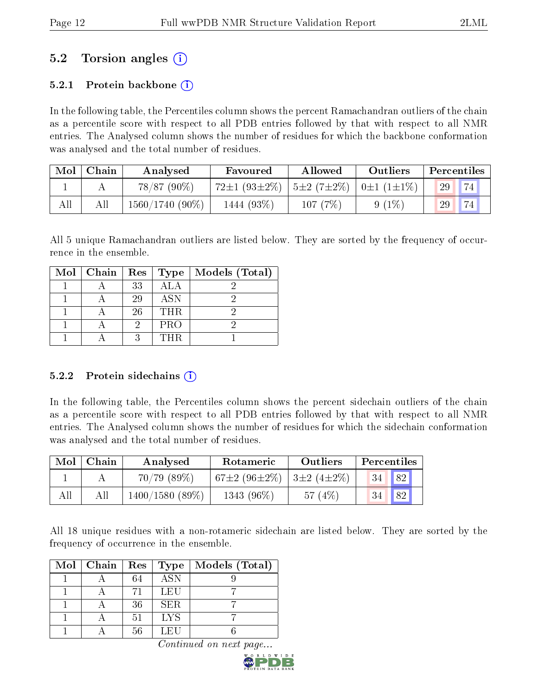# 5.2 Torsion angles (i)

## 5.2.1 Protein backbone  $(i)$

In the following table, the Percentiles column shows the percent Ramachandran outliers of the chain as a percentile score with respect to all PDB entries followed by that with respect to all NMR entries. The Analysed column shows the number of residues for which the backbone conformation was analysed and the total number of residues.

| Mol | Chain | Analysed          | Favoured                                                                  | Allowed | Outliers | Percentiles |
|-----|-------|-------------------|---------------------------------------------------------------------------|---------|----------|-------------|
|     |       | $78/87(90\%)$     | $72\pm1$ (93 $\pm2\%$ )   5 $\pm2$ (7 $\pm2\%$ )   0 $\pm1$ (1 $\pm1\%$ ) |         |          | 74)<br>29   |
| All |       | $1560/1740(90\%)$ | 1444 (93%)                                                                | 107(7%) | $9(1\%)$ | 29          |

All 5 unique Ramachandran outliers are listed below. They are sorted by the frequency of occurrence in the ensemble.

| $Mol$   Chain | $\mathbf{Res}$ | Type       | Models (Total) |
|---------------|----------------|------------|----------------|
|               | 33             | <b>ALA</b> |                |
|               | 29             | <b>ASN</b> |                |
|               | 26             | <b>THR</b> |                |
|               |                | <b>PRO</b> |                |
|               | റ              | THR        |                |

#### 5.2.2 Protein sidechains  $(i)$

In the following table, the Percentiles column shows the percent sidechain outliers of the chain as a percentile score with respect to all PDB entries followed by that with respect to all NMR entries. The Analysed column shows the number of residues for which the sidechain conformation was analysed and the total number of residues.

| Mol | Chain | Analysed       | Rotameric                                             | Outliers | Percentiles |    |  |
|-----|-------|----------------|-------------------------------------------------------|----------|-------------|----|--|
|     |       | 70/79(89%)     | 67 $\pm 2$ (96 $\pm 2\%$ )   3 $\pm 2$ (4 $\pm 2\%$ ) |          | 34          | 82 |  |
| All | Аll   | 1400/1580(89%) | 1343 (96%)                                            | 57(4%)   | 34          | 82 |  |

All 18 unique residues with a non-rotameric sidechain are listed below. They are sorted by the frequency of occurrence in the ensemble.

| $Mol$   Chain | $\operatorname{Res}$ | $_{\rm Type}$    | Models (Total) |
|---------------|----------------------|------------------|----------------|
|               | 64                   | $\overline{ASN}$ |                |
|               | 71                   | LEU              |                |
|               | 36                   | SER.             |                |
|               | 51                   | <b>LYS</b>       |                |
|               | 56                   | L EU             |                |

Continued on next page.

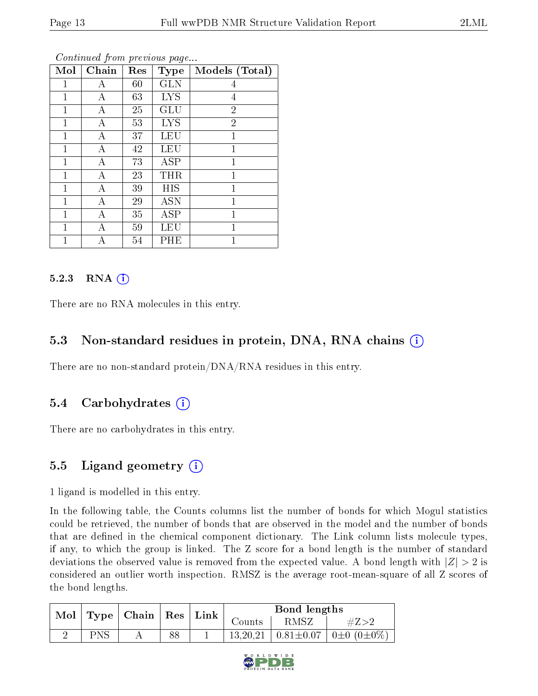| Mol          | Chain | Res | <b>Type</b>       | Models (Total) |
|--------------|-------|-----|-------------------|----------------|
| $\mathbf{1}$ | А     | 60  | <b>GLN</b>        | 4              |
| $\mathbf{1}$ | А     | 63  | <b>LYS</b>        | 4              |
| 1            | А     | 25  | GLU               | $\overline{2}$ |
| $\mathbf{1}$ | А     | 53  | <b>LYS</b>        | $\overline{2}$ |
| $\mathbf{1}$ | А     | 37  | <b>LEU</b>        | 1              |
| $\mathbf{1}$ | А     | 42  | <b>LEU</b>        | $\overline{1}$ |
| $\mathbf{1}$ | А     | 73  | <b>ASP</b>        | $\overline{1}$ |
| $\mathbf{1}$ | А     | 23  | THR               | $\mathbf{1}$   |
| $\mathbf{1}$ | А     | 39  | HIS               | 1              |
| $\mathbf{1}$ | А     | 29  | $\overline{A}$ SN | $\mathbf{1}$   |
| 1            | А     | 35  | ASP               | $\mathbf 1$    |
| 1            | А     | 59  | LEU               | 1              |
| 1            | А     | 54  | PHE               | 1              |

Continued from previous page...

### 5.2.3 RNA (i)

There are no RNA molecules in this entry.

## 5.3 Non-standard residues in protein, DNA, RNA chains (i)

There are no non-standard protein/DNA/RNA residues in this entry.

## 5.4 Carbohydrates (i)

There are no carbohydrates in this entry.

## 5.5 Ligand geometry (i)

1 ligand is modelled in this entry.

In the following table, the Counts columns list the number of bonds for which Mogul statistics could be retrieved, the number of bonds that are observed in the model and the number of bonds that are defined in the chemical component dictionary. The Link column lists molecule types, if any, to which the group is linked. The Z score for a bond length is the number of standard deviations the observed value is removed from the expected value. A bond length with  $|Z| > 2$  is considered an outlier worth inspection. RMSZ is the average root-mean-square of all Z scores of the bond lengths.

|            |                                 |    |        | Bond lengths |                                                  |
|------------|---------------------------------|----|--------|--------------|--------------------------------------------------|
|            | Mol   Type   Chain   Res   Link |    | Counts | RMSZ         | $\#Z > 2$                                        |
| <b>PNS</b> |                                 | 88 |        |              | $13,20,21$   $0.81\pm0.07$   $0\pm0$ $(0\pm0\%)$ |

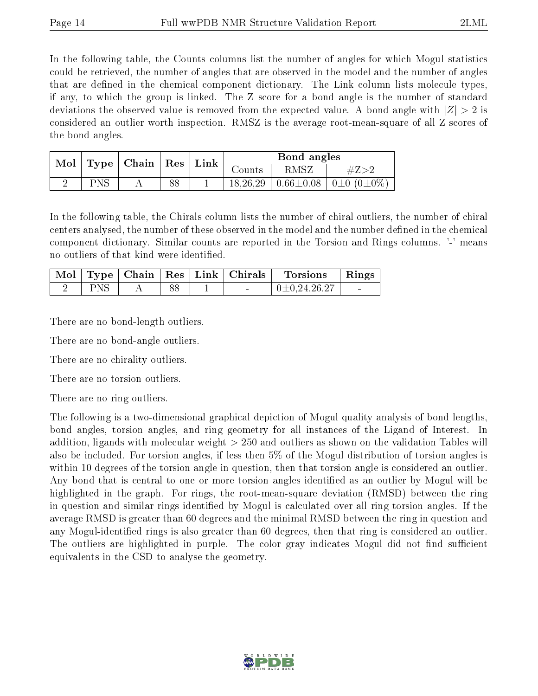In the following table, the Counts columns list the number of angles for which Mogul statistics could be retrieved, the number of angles that are observed in the model and the number of angles that are defined in the chemical component dictionary. The Link column lists molecule types, if any, to which the group is linked. The Z score for a bond angle is the number of standard deviations the observed value is removed from the expected value. A bond angle with  $|Z| > 2$  is considered an outlier worth inspection. RMSZ is the average root-mean-square of all Z scores of the bond angles.

| Mol | $\mid$ Type $\mid$ Chain $\mid$ Res $\mid$ Link $\mid$ |    |          | Bond angles |                                                          |
|-----|--------------------------------------------------------|----|----------|-------------|----------------------------------------------------------|
|     |                                                        |    | Jounts   | RMSZ        |                                                          |
|     |                                                        | 88 | 18,26,29 |             | $\vert 0.66 \pm 0.08 \vert 0 \pm 0.02 \pm 0.020 \rangle$ |

In the following table, the Chirals column lists the number of chiral outliers, the number of chiral centers analysed, the number of these observed in the model and the number defined in the chemical component dictionary. Similar counts are reported in the Torsion and Rings columns. '-' means no outliers of that kind were identified.

|            |  | $\perp$ Mol $\mid$ Type $\mid$ Chain $\mid$ Res $\mid$ Link $\mid$ Chirals $\mid$ | Torsions '       | $\overline{\phantom{a}}$ Rings |
|------------|--|-----------------------------------------------------------------------------------|------------------|--------------------------------|
| <b>PNS</b> |  |                                                                                   | $0\pm0.24.26.27$ |                                |

There are no bond-length outliers.

There are no bond-angle outliers.

There are no chirality outliers.

There are no torsion outliers.

There are no ring outliers.

The following is a two-dimensional graphical depiction of Mogul quality analysis of bond lengths, bond angles, torsion angles, and ring geometry for all instances of the Ligand of Interest. In addition, ligands with molecular weight > 250 and outliers as shown on the validation Tables will also be included. For torsion angles, if less then 5% of the Mogul distribution of torsion angles is within 10 degrees of the torsion angle in question, then that torsion angle is considered an outlier. Any bond that is central to one or more torsion angles identified as an outlier by Mogul will be highlighted in the graph. For rings, the root-mean-square deviation (RMSD) between the ring in question and similar rings identified by Mogul is calculated over all ring torsion angles. If the average RMSD is greater than 60 degrees and the minimal RMSD between the ring in question and any Mogul-identified rings is also greater than 60 degrees, then that ring is considered an outlier. The outliers are highlighted in purple. The color gray indicates Mogul did not find sufficient equivalents in the CSD to analyse the geometry.

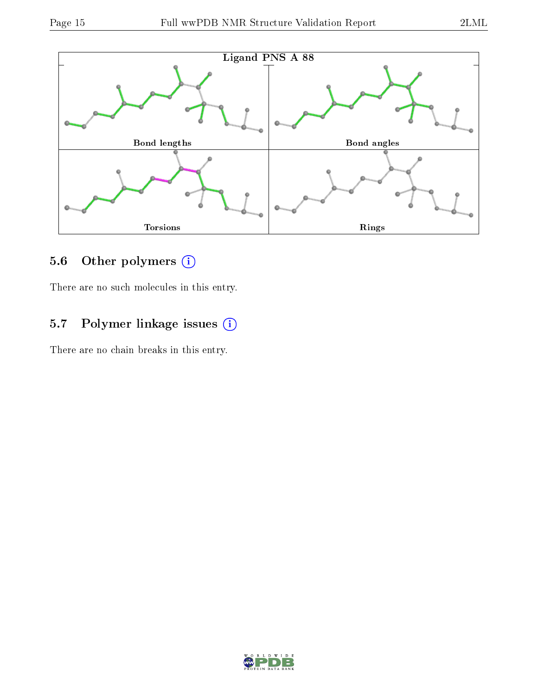

# 5.6 [O](https://www.wwpdb.org/validation/2017/NMRValidationReportHelp#nonstandard_residues_and_ligands)ther polymers (i)

There are no such molecules in this entry.

# 5.7 Polymer linkage issues (i)

There are no chain breaks in this entry.

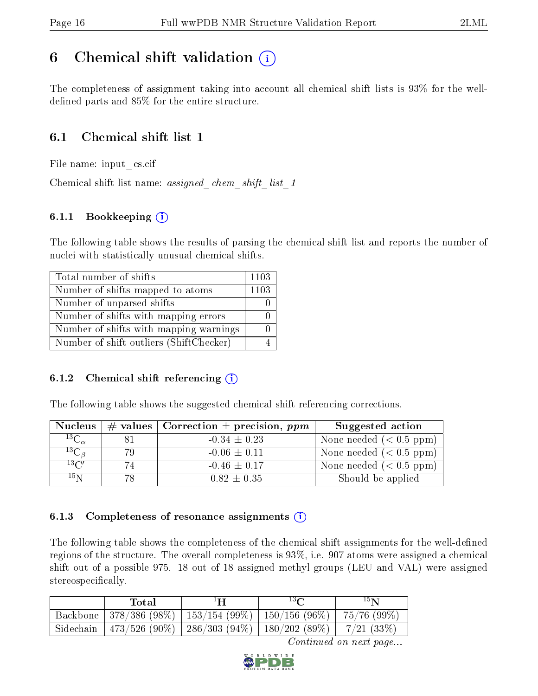# <span id="page-15-0"></span>6 Chemical shift validation  $\binom{1}{k}$

The completeness of assignment taking into account all chemical shift lists is 93% for the welldefined parts and  $85\%$  for the entire structure.

# 6.1 Chemical shift list 1

File name: input\_cs.cif

Chemical shift list name: *assigned\_chem\_shift\_list\_1* 

## 6.1.1 Bookkeeping (i)

The following table shows the results of parsing the chemical shift list and reports the number of nuclei with statistically unusual chemical shifts.

| Total number of shifts                  | 1103 |
|-----------------------------------------|------|
| Number of shifts mapped to atoms        | 1103 |
| Number of unparsed shifts               |      |
| Number of shifts with mapping errors    |      |
| Number of shifts with mapping warnings  |      |
| Number of shift outliers (ShiftChecker) |      |

## 6.1.2 Chemical shift referencing  $(i)$

The following table shows the suggested chemical shift referencing corrections.

| <b>Nucleus</b>     |     | # values   Correction $\pm$ precision, ppm | Suggested action          |
|--------------------|-----|--------------------------------------------|---------------------------|
| $^{13}C_{\alpha}$  |     | $-0.34 \pm 0.23$                           | None needed $(0.5 ppm)$   |
| ${}^{13}C_{\beta}$ | 79  | $-0.06 \pm 0.11$                           | None needed $(0.5 ppm)$   |
| $13\text{C}$       | 74  | $-0.46 \pm 0.17$                           | None needed $(< 0.5$ ppm) |
| $15\,\mathrm{N}$   | 78. | $0.82 \pm 0.35$                            | Should be applied         |

#### 6.1.3 Completeness of resonance assignments  $(i)$

The following table shows the completeness of the chemical shift assignments for the well-defined regions of the structure. The overall completeness is 93%, i.e. 907 atoms were assigned a chemical shift out of a possible 975. 18 out of 18 assigned methyl groups (LEU and VAL) were assigned stereospecifically.

| Total | $^1$ H | 13 <sub>0</sub>                                                        | 15 <sub>N</sub> |
|-------|--------|------------------------------------------------------------------------|-----------------|
|       |        | Backbone   378/386 (98%)   153/154 (99%)   150/156 (96%)   75/76 (99%) |                 |
|       |        | Sidechain   473/526 (90%)   286/303 (94%)   180/202 (89%)   7/21 (33%) |                 |

Continued on next page...

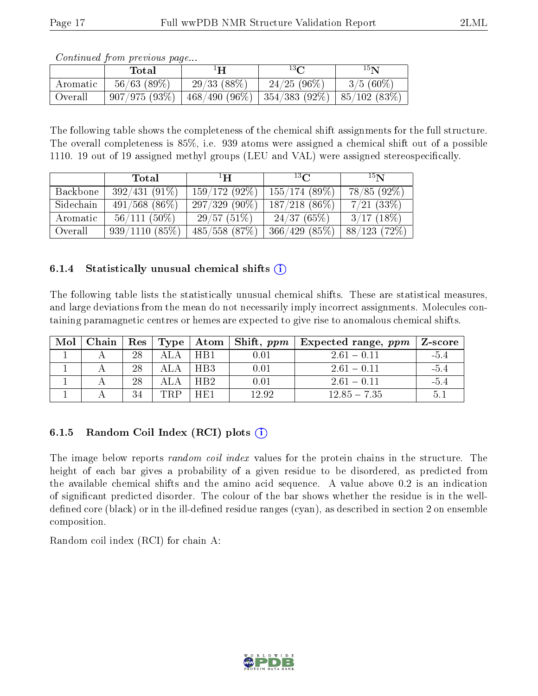|          | contentable provided page<br>Total | ⊥H                                           | $^{13}$ $\Omega$ | 15 <sub>N</sub> |
|----------|------------------------------------|----------------------------------------------|------------------|-----------------|
| Aromatic | $56/63$ $(89\%)$                   | 29/33(88%)                                   | $24/25(96\%)$    | $3/5(60\%)$     |
| Overall  | 907/975(93%)                       | 468/490 (96%)   354/383 (92%)   85/102 (83%) |                  |                 |

Continued from previous page...

The following table shows the completeness of the chemical shift assignments for the full structure. The overall completeness is 85%, i.e. 939 atoms were assigned a chemical shift out of a possible 1110. 19 out of 19 assigned methyl groups (LEU and VAL) were assigned stereospecifically.

|           | <b>Total</b>     | $\mathbf{H}^1$     | $^{13}$ C        | 15N           |
|-----------|------------------|--------------------|------------------|---------------|
| Backbone  | $392/431(91\%)$  | $159/172(92\%)$    | 155/174(89%)     | 78/85(92%)    |
| Sidechain | $491/568$ (86\%) | $297/329(90\%)$    | $187/218$ (86\%) | $7/21$ (33\%) |
| Aromatic  | $56/111(50\%)$   | 29/57(51%)         | 24/37(65%)       | $3/17(18\%)$  |
| Overall   | 939/1110(85%)    | $485/558$ $(87\%)$ | 366/429(85%)     | 88/123(72%)   |

### 6.1.4 Statistically unusual chemical shifts  $(i)$

The following table lists the statistically unusual chemical shifts. These are statistical measures, and large deviations from the mean do not necessarily imply incorrect assignments. Molecules containing paramagnetic centres or hemes are expected to give rise to anomalous chemical shifts.

| Mol | Chain |    |      |                  |       | Res   Type   Atom   Shift, $ppm$   Expected range, $ppm$ | Z-score |
|-----|-------|----|------|------------------|-------|----------------------------------------------------------|---------|
|     |       | 28 | A LA | H <sub>R</sub> 1 | 0.01  | $261 - 011$                                              | $-5.4$  |
|     |       | 28 |      | HB <sub>3</sub>  | 0.01  | $2.61 - 0.11$                                            | $-5.4$  |
|     |       | 28 |      | HR <sub>2</sub>  | 0.01  | $261 - 011$                                              | $-54$   |
|     |       | 34 | TRP  | HF1              | 12.92 | $12.85 - 7.35$                                           | 5.      |

## 6.1.5 Random Coil Index  $(RCI)$  plots  $(i)$

The image below reports *random coil index* values for the protein chains in the structure. The height of each bar gives a probability of a given residue to be disordered, as predicted from the available chemical shifts and the amino acid sequence. A value above 0.2 is an indication of signicant predicted disorder. The colour of the bar shows whether the residue is in the welldefined core (black) or in the ill-defined residue ranges (cyan), as described in section 2 on ensemble composition.

Random coil index (RCI) for chain A: